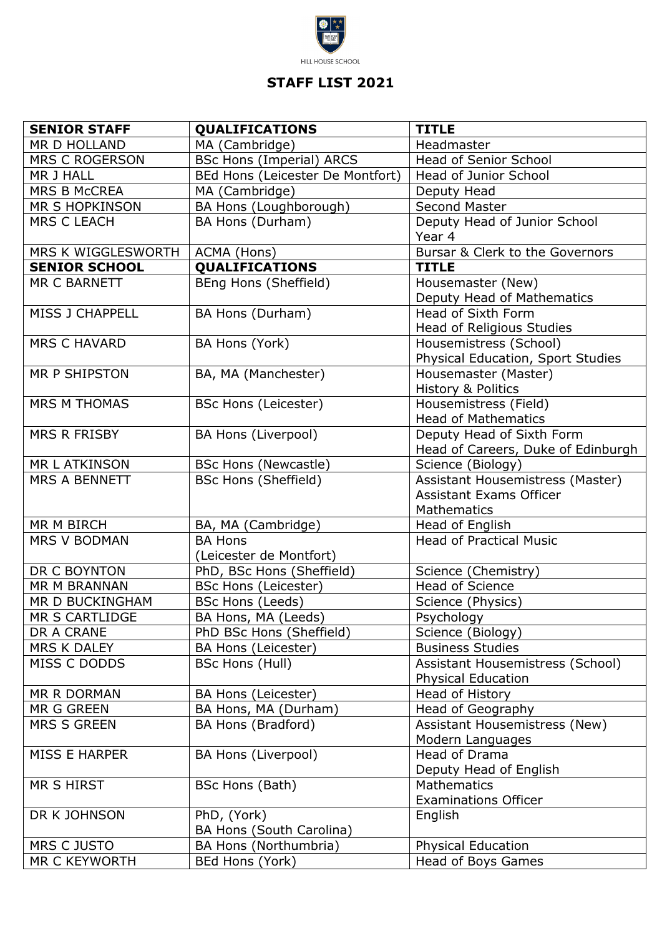

## **STAFF LIST 2021**

| <b>SENIOR STAFF</b>    | <b>QUALIFICATIONS</b>                   | <b>TITLE</b>                                                    |
|------------------------|-----------------------------------------|-----------------------------------------------------------------|
| MR D HOLLAND           | MA (Cambridge)                          | Headmaster                                                      |
| <b>MRS C ROGERSON</b>  | <b>BSc Hons (Imperial) ARCS</b>         | Head of Senior School                                           |
| MR J HALL              | BEd Hons (Leicester De Montfort)        | Head of Junior School                                           |
| <b>MRS B McCREA</b>    | MA (Cambridge)                          | Deputy Head                                                     |
| MR S HOPKINSON         | BA Hons (Loughborough)                  | <b>Second Master</b>                                            |
| <b>MRS C LEACH</b>     | BA Hons (Durham)                        | Deputy Head of Junior School<br>Year 4                          |
| MRS K WIGGLESWORTH     | ACMA (Hons)                             | Bursar & Clerk to the Governors                                 |
| <b>SENIOR SCHOOL</b>   | <b>QUALIFICATIONS</b>                   | <b>TITLE</b>                                                    |
| MR C BARNETT           | BEng Hons (Sheffield)                   | Housemaster (New)<br>Deputy Head of Mathematics                 |
| <b>MISS J CHAPPELL</b> | BA Hons (Durham)                        | Head of Sixth Form<br>Head of Religious Studies                 |
| <b>MRS C HAVARD</b>    | BA Hons (York)                          | Housemistress (School)                                          |
|                        |                                         | Physical Education, Sport Studies                               |
| MR P SHIPSTON          | BA, MA (Manchester)                     | Housemaster (Master)<br><b>History &amp; Politics</b>           |
| <b>MRS M THOMAS</b>    | <b>BSc Hons (Leicester)</b>             | Housemistress (Field)<br><b>Head of Mathematics</b>             |
| <b>MRS R FRISBY</b>    | <b>BA Hons (Liverpool)</b>              | Deputy Head of Sixth Form<br>Head of Careers, Duke of Edinburgh |
| <b>MR L ATKINSON</b>   | <b>BSc Hons (Newcastle)</b>             | Science (Biology)                                               |
| <b>MRS A BENNETT</b>   | <b>BSc Hons (Sheffield)</b>             | Assistant Housemistress (Master)                                |
|                        |                                         | <b>Assistant Exams Officer</b>                                  |
|                        |                                         | Mathematics                                                     |
| <b>MR M BIRCH</b>      | BA, MA (Cambridge)                      | Head of English                                                 |
| <b>MRS V BODMAN</b>    | <b>BA Hons</b>                          | <b>Head of Practical Music</b>                                  |
|                        | (Leicester de Montfort)                 |                                                                 |
| DR C BOYNTON           | PhD, BSc Hons (Sheffield)               | Science (Chemistry)                                             |
| MR M BRANNAN           | <b>BSc Hons (Leicester)</b>             | <b>Head of Science</b>                                          |
| MR D BUCKINGHAM        | <b>BSc Hons (Leeds)</b>                 | Science (Physics)                                               |
| <b>MR S CARTLIDGE</b>  | BA Hons, MA (Leeds)                     | Psychology                                                      |
| DR A CRANE             | PhD BSc Hons (Sheffield)                | Science (Biology)                                               |
| MRS K DALEY            | BA Hons (Leicester)                     | <b>Business Studies</b>                                         |
| MISS C DODDS           | <b>BSc Hons (Hull)</b>                  | Assistant Housemistress (School)<br><b>Physical Education</b>   |
| MR R DORMAN            | BA Hons (Leicester)                     | Head of History                                                 |
| MR G GREEN             | BA Hons, MA (Durham)                    | Head of Geography                                               |
| <b>MRS S GREEN</b>     | BA Hons (Bradford)                      | <b>Assistant Housemistress (New)</b>                            |
|                        |                                         | Modern Languages                                                |
| MISS E HARPER          | BA Hons (Liverpool)                     | Head of Drama<br>Deputy Head of English                         |
| <b>MR S HIRST</b>      | BSc Hons (Bath)                         | <b>Mathematics</b>                                              |
|                        |                                         | <b>Examinations Officer</b>                                     |
| DR K JOHNSON           | PhD, (York)<br>BA Hons (South Carolina) | English                                                         |
| MRS C JUSTO            | BA Hons (Northumbria)                   | <b>Physical Education</b>                                       |
| MR C KEYWORTH          | BEd Hons (York)                         | Head of Boys Games                                              |
|                        |                                         |                                                                 |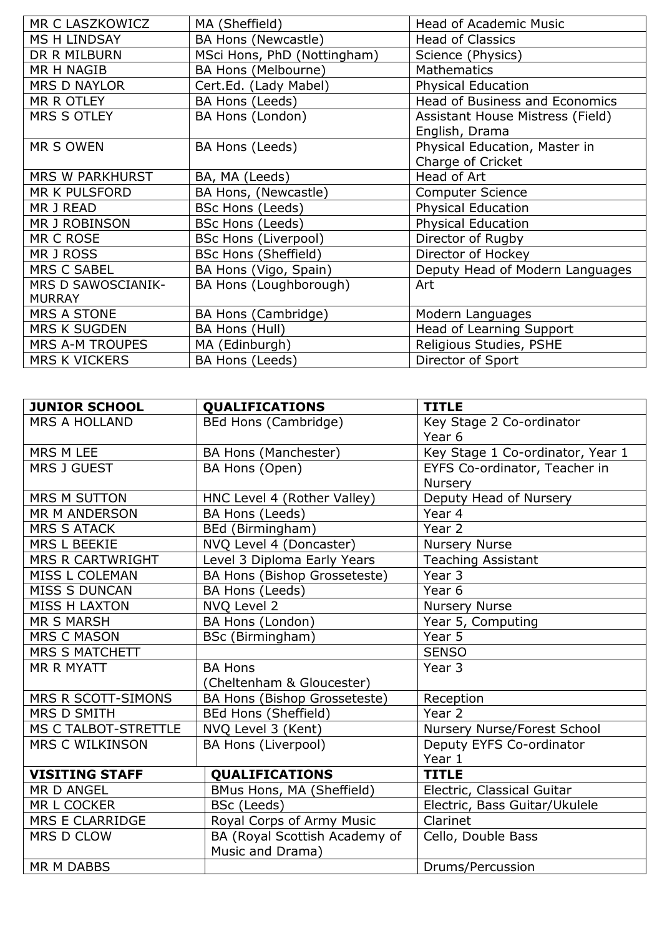| MR C LASZKOWICZ           | MA (Sheffield)              | <b>Head of Academic Music</b>         |
|---------------------------|-----------------------------|---------------------------------------|
| <b>MS H LINDSAY</b>       | BA Hons (Newcastle)         | <b>Head of Classics</b>               |
| DR R MILBURN              | MSci Hons, PhD (Nottingham) | Science (Physics)                     |
| <b>MR H NAGIB</b>         | BA Hons (Melbourne)         | <b>Mathematics</b>                    |
| <b>MRS D NAYLOR</b>       | Cert.Ed. (Lady Mabel)       | <b>Physical Education</b>             |
| MR R OTLEY                | BA Hons (Leeds)             | <b>Head of Business and Economics</b> |
| <b>MRS S OTLEY</b>        | BA Hons (London)            | Assistant House Mistress (Field)      |
|                           |                             | English, Drama                        |
| <b>MR S OWEN</b>          | BA Hons (Leeds)             | Physical Education, Master in         |
|                           |                             | Charge of Cricket                     |
| <b>MRS W PARKHURST</b>    | BA, MA (Leeds)              | Head of Art                           |
| <b>MR K PULSFORD</b>      | BA Hons, (Newcastle)        | <b>Computer Science</b>               |
| <b>MR J READ</b>          | <b>BSc Hons (Leeds)</b>     | Physical Education                    |
| MR J ROBINSON             | <b>BSc Hons (Leeds)</b>     | <b>Physical Education</b>             |
| MR C ROSE                 | <b>BSc Hons (Liverpool)</b> | Director of Rugby                     |
| MR J ROSS                 | <b>BSc Hons (Sheffield)</b> | Director of Hockey                    |
| <b>MRS C SABEL</b>        | BA Hons (Vigo, Spain)       | Deputy Head of Modern Languages       |
| <b>MRS D SAWOSCIANIK-</b> | BA Hons (Loughborough)      | Art                                   |
| <b>MURRAY</b>             |                             |                                       |
| <b>MRS A STONE</b>        | BA Hons (Cambridge)         | Modern Languages                      |
| <b>MRS K SUGDEN</b>       | BA Hons (Hull)              | Head of Learning Support              |
| <b>MRS A-M TROUPES</b>    | MA (Edinburgh)              | Religious Studies, PSHE               |
| <b>MRS K VICKERS</b>      | BA Hons (Leeds)             | Director of Sport                     |

| <b>JUNIOR SCHOOL</b>        | <b>QUALIFICATIONS</b>         | <b>TITLE</b>                     |
|-----------------------------|-------------------------------|----------------------------------|
| <b>MRS A HOLLAND</b>        | BEd Hons (Cambridge)          | Key Stage 2 Co-ordinator         |
|                             |                               | Year <sub>6</sub>                |
| MRS M LEE                   | BA Hons (Manchester)          | Key Stage 1 Co-ordinator, Year 1 |
| <b>MRS J GUEST</b>          | BA Hons (Open)                | EYFS Co-ordinator, Teacher in    |
|                             |                               | Nursery                          |
| <b>MRS M SUTTON</b>         | HNC Level 4 (Rother Valley)   | Deputy Head of Nursery           |
| MR M ANDERSON               | BA Hons (Leeds)               | Year 4                           |
| <b>MRS S ATACK</b>          | BEd (Birmingham)              | Year 2                           |
| MRS L BEEKIE                | NVQ Level 4 (Doncaster)       | <b>Nursery Nurse</b>             |
| MRS R CARTWRIGHT            | Level 3 Diploma Early Years   | <b>Teaching Assistant</b>        |
| MISS L COLEMAN              | BA Hons (Bishop Grosseteste)  | Year 3                           |
| <b>MISS S DUNCAN</b>        | BA Hons (Leeds)               | Year <sub>6</sub>                |
| <b>MISS H LAXTON</b>        | NVQ Level 2                   | <b>Nursery Nurse</b>             |
| <b>MR S MARSH</b>           | BA Hons (London)              | Year 5, Computing                |
| <b>MRS C MASON</b>          | <b>BSc (Birmingham)</b>       | Year 5                           |
| <b>MRS S MATCHETT</b>       |                               | <b>SENSO</b>                     |
| <b>MR R MYATT</b>           | <b>BA Hons</b>                | Year 3                           |
|                             | (Cheltenham & Gloucester)     |                                  |
| MRS R SCOTT-SIMONS          | BA Hons (Bishop Grosseteste)  | Reception                        |
| <b>MRS D SMITH</b>          | <b>BEd Hons (Sheffield)</b>   | Year 2                           |
| <b>MS C TALBOT-STRETTLE</b> | NVQ Level 3 (Kent)            | Nursery Nurse/Forest School      |
| <b>MRS C WILKINSON</b>      | <b>BA Hons (Liverpool)</b>    | Deputy EYFS Co-ordinator         |
|                             |                               | Year 1                           |
| <b>VISITING STAFF</b>       | <b>QUALIFICATIONS</b>         | <b>TITLE</b>                     |
| MR D ANGEL                  | BMus Hons, MA (Sheffield)     | Electric, Classical Guitar       |
| MR L COCKER                 | BSc (Leeds)                   | Electric, Bass Guitar/Ukulele    |
| <b>MRS E CLARRIDGE</b>      | Royal Corps of Army Music     | Clarinet                         |
| MRS D CLOW                  | BA (Royal Scottish Academy of | Cello, Double Bass               |
|                             | Music and Drama)              |                                  |
| <b>MR M DABBS</b>           |                               | Drums/Percussion                 |